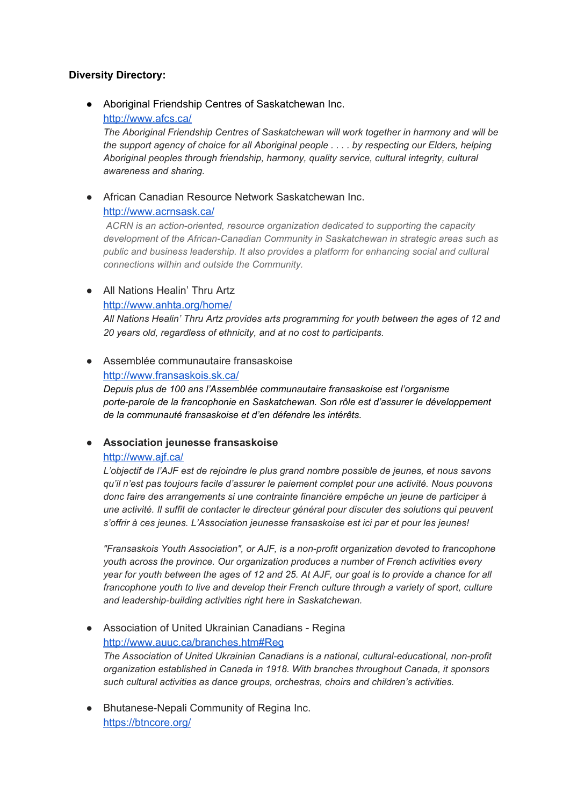## **Diversity Directory:**

● Aboriginal Friendship Centres of Saskatchewan Inc. <http://www.afcs.ca/>

*The Aboriginal Friendship Centres of Saskatchewan will work together in harmony and will be the support agency of choice for all Aboriginal people . . . . by respecting our Elders, helping Aboriginal peoples through friendship, harmony, quality service, cultural integrity, cultural awareness and sharing.*

● African Canadian Resource Network Saskatchewan Inc. <http://www.acrnsask.ca/>

*ACRN is an action-oriented, resource organization dedicated to supporting the capacity development of the African-Canadian Community in Saskatchewan in strategic areas such as public and business leadership. It also provides a platform for enhancing social and cultural connections within and outside the Community.*

## ● All Nations Healin' Thru Artz

<http://www.anhta.org/home/>

*All Nations Healin' Thru Artz provides arts programming for youth between the ages of 12 and 20 years old, regardless of ethnicity, and at no cost to participants.*

## ● Assemblée communautaire fransaskoise

<http://www.fransaskois.sk.ca/>

*Depuis plus de 100 ans l'Assemblée communautaire fransaskoise est l'organisme porte-parole de la francophonie en Saskatchewan. Son rôle est d'assurer le développement de la communauté fransaskoise et d'en défendre les intérêts.*

## **● Association jeunesse fransaskoise**

## <http://www.ajf.ca/>

*L'objectif de l'AJF est de rejoindre le plus grand nombre possible de jeunes, et nous savons qu'il n'est pas toujours facile d'assurer le paiement complet pour une activité. Nous pouvons donc faire des arrangements si une contrainte financière empêche un jeune de participer à une activité. Il suffit de contacter le directeur général pour discuter des solutions qui peuvent s'offrir à ces jeunes. L'Association jeunesse fransaskoise est ici par et pour les jeunes!*

*"Fransaskois Youth Association", or AJF, is a non-profit organization devoted to francophone youth across the province. Our organization produces a number of French activities every* year for youth between the ages of 12 and 25. At AJF, our goal is to provide a chance for all *francophone youth to live and develop their French culture through a variety of sport, culture and leadership-building activities right here in Saskatchewan.*

- Association of United Ukrainian Canadians Regina <http://www.auuc.ca/branches.htm#Reg> *The Association of United Ukrainian Canadians is a national, cultural-educational, non-profit organization established in Canada in 1918. With branches throughout Canada, it sponsors such cultural activities as dance groups, orchestras, choirs and children's activities.*
- Bhutanese-Nepali Community of Regina Inc. <https://btncore.org/>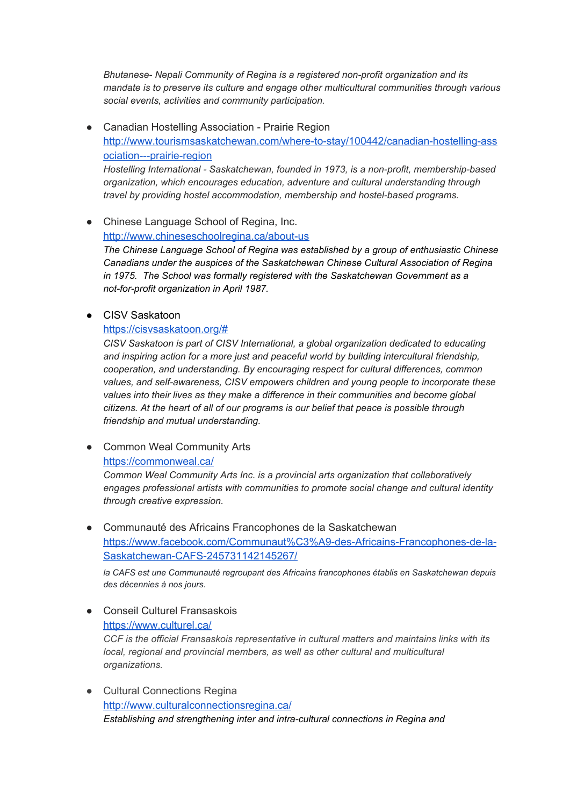*Bhutanese- Nepali Community of Regina is a registered non-profit organization and its mandate is to preserve its culture and engage other multicultural communities through various social events, activities and community participation.*

● Canadian Hostelling Association - Prairie Region [http://www.tourismsaskatchewan.com/where-to-stay/100442/canadian-hostelling-ass](http://www.tourismsaskatchewan.com/where-to-stay/100442/canadian-hostelling-association---prairie-region) [ociation---prairie-region](http://www.tourismsaskatchewan.com/where-to-stay/100442/canadian-hostelling-association---prairie-region) *Hostelling International - Saskatchewan, founded in 1973, is a non-profit, membership-based organization, which encourages education, adventure and cultural understanding through travel by providing hostel accommodation, membership and hostel-based programs.*

● Chinese Language School of Regina, Inc. <http://www.chineseschoolregina.ca/about-us> *The Chinese Language School of Regina w as established by a group of enthusiastic Chinese Canadians under the auspices of the Saskatchewan Chinese Cultural Association of Regina in 1975. The School was formally registered with the Saskatchewan Government as a not-for-profit organization in April 1987.*

● CISV Saskatoon

#### <https://cisvsaskatoon.org/#>

*CISV Saskatoon is part of CISV International, a global organization dedicated to educating and inspiring action for a more just and peaceful world by building intercultural friendship, cooperation, and understanding. By encouraging respect for cultural differences, common values, and self-awareness, CISV empowers children and young people to incorporate these values into their lives as they make a difference in their communities and become global citizens. At the heart of all of our programs is our belief that peace is possible through friendship and mutual understanding.*

• Common Weal Community Arts <https://commonweal.ca/>

*Common Weal Community Arts Inc. is a provincial arts organization that collaboratively engages professional artists with communities to promote social change and cultural identity through creative expression.*

● Communauté des Africains Francophones de la Saskatchewan [https://www.facebook.com/Communaut%C3%A9-des-Africains-Francophones-de-la-](https://www.facebook.com/Communaut%C3%A9-des-Africains-Francophones-de-la-Saskatchewan-CAFS-245731142145267/)[Saskatchewan-CAFS-245731142145267/](https://www.facebook.com/Communaut%C3%A9-des-Africains-Francophones-de-la-Saskatchewan-CAFS-245731142145267/)

*la CAFS est une Communauté regroupant des Africains francophones établis en Saskatchewan depuis des décennies à nos jours.*

● Conseil Culturel Fransaskois <https://www.culturel.ca/>

*CCF is the official Fransaskois representative in cultural matters and maintains links with its local, regional and provincial members, as well as other cultural and multicultural organizations.*

● Cultural Connections Regina <http://www.culturalconnectionsregina.ca/> *Establishing and strengthening inter and intra-cultural connections in Regina and*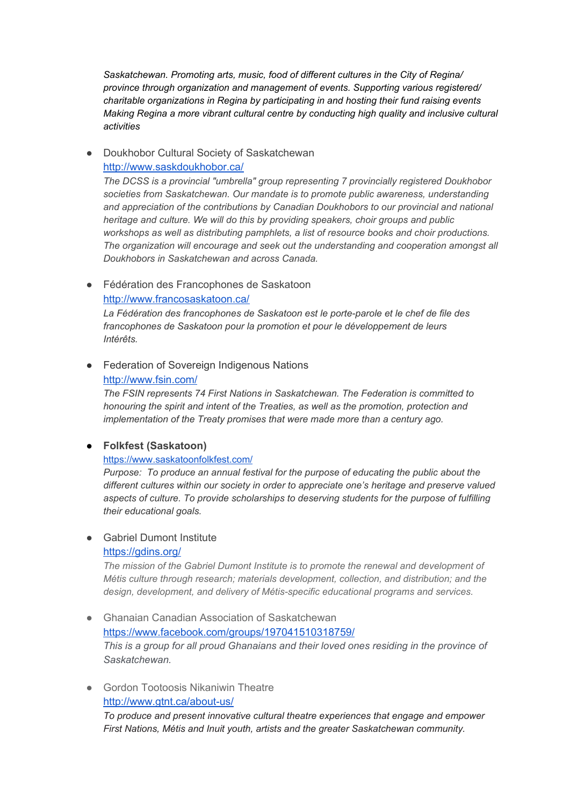*Saskatchewan. Promoting arts, music, food of different cultures in the City of Regina/ province through organization and management of events. Supporting various registered/ charitable organizations in Regina by participating in and hosting their fund raising events Making Regina a more vibrant cultural centre by conducting high quality and inclusive cultural activities*

Doukhobor Cultural Society of Saskatchewan <http://www.saskdoukhobor.ca/>

*The DCSS is a provincial "umbrella" group representing 7 provincially registered Doukhobor societies from Saskatchewan. Our mandate is to promote public awareness, understanding and appreciation of the contributions by Canadian Doukhobors to our provincial and national heritage and culture. We will do this by providing speakers, choir groups and public workshops as well as distributing pamphlets, a list of resource books and choir productions. The organization will encourage and seek out the understanding and cooperation amongst all Doukhobors in Saskatchewan and across Canada.*

● Fédération des Francophones de Saskatoon

## <http://www.francosaskatoon.ca/>

*La Fédération des francophones de Saskatoon est le porte-parole et le chef de file des francophones de Saskatoon pour la promotion et pour le développement de leurs Intérêts.*

● Federation of Sovereign Indigenous Nations

## <http://www.fsin.com/>

*The FSIN represents 74 First Nations in Saskatchewan. The Federation is committed to honouring the spirit and intent of the Treaties, as well as the promotion, protection and implementation of the Treaty promises that were made more than a century ago.*

## ● **Folkfest (Saskatoon)**

## <https://www.saskatoonfolkfest.com/>

*Purpose: To produce an annual festival for the purpose of educating the public about the different cultures within our society in order to appreciate one's heritage and preserve valued aspects of culture. To provide scholarships to deserving students for the purpose of fulfilling their educational goals.*

## ● Gabriel Dumont Institute

## <https://gdins.org/>

*The mission of the Gabriel Dumont Institute is to promote the renewal and development of Métis culture through research; materials development, collection, and distribution; and the design, development, and delivery of Métis-specific educational programs and services.*

- Ghanaian Canadian Association of Saskatchewan <https://www.facebook.com/groups/197041510318759/> *This is a group for all proud Ghanaians and their loved ones residing in the province of Saskatchewan.*
- Gordon Tootoosis Nikaniwin Theatre <http://www.gtnt.ca/about-us/>

*To produce and present innovative cultural theatre experiences that engage and empower First Nations, Métis and Inuit youth, artists and the greater Saskatchewan community.*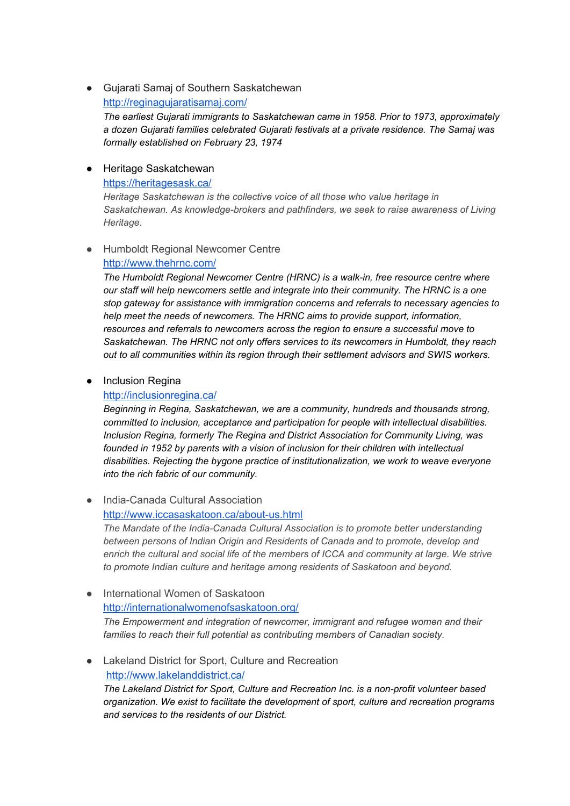## ● Gujarati Samaj of Southern Saskatchewan <http://reginagujaratisamaj.com/>

*The earliest Gujarati immigrants to Saskatchewan came in 1958. Prior to 1973, approximately a dozen Gujarati families celebrated Gujarati festivals at a private residence. The Samaj was formally established on February 23, 1974*

### ● Heritage Saskatchewan

#### <https://heritagesask.ca/>

*Heritage Saskatchewan is the collective voice of all those who value heritage in Saskatchewan. As knowledge-brokers and pathfinders, we seek to raise awareness of Living Heritage.*

## ● Humboldt Regional Newcomer Centre <http://www.thehrnc.com/>

*The Humboldt Regional Newcomer Centre (HRNC) is a walk-in, free resource centre where our staff will help newcomers settle and integrate into their community. The HRNC is a one stop gateway for assistance with immigration concerns and referrals to necessary agencies to help meet the needs of newcomers. The HRNC aims to provide support, information, resources and referrals to newcomers across the region to ensure a successful move to Saskatchewan. The HRNC not only offers services to its newcomers in Humboldt, they reach out to all communities within its region through their settlement advisors and SWIS workers.*

## ● Inclusion Regina

## <http://inclusionregina.ca/>

*Beginning in Regina, Saskatchewan, we are a community, hundreds and thousands strong, committed to inclusion, acceptance and participation for people with intellectual disabilities. Inclusion Regina, formerly The Regina and District Association for Community Living, was founded in 1952 by parents with a vision of inclusion for their children with intellectual disabilities. Rejecting the bygone practice of institutionalization, we work to weave everyone into the rich fabric of our community.*

### ● India-Canada Cultural Association <http://www.iccasaskatoon.ca/about-us.html>

*The Mandate of the India-Canada Cultural Association is to promote better understanding between persons of Indian Origin and Residents of Canada and to promote, develop and enrich the cultural and social life of the members of ICCA and community at large. We strive to promote Indian culture and heritage among residents of Saskatoon and beyond.*

## • International Women of Saskatoon <http://internationalwomenofsaskatoon.org/> *The Empowerment and integration of newcomer, immigrant and refugee women and their families to reach their full potential as contributing members of Canadian society.*

## ● Lakeland District for Sport, Culture and Recreation <http://www.lakelanddistrict.ca/>

*The Lakeland District for Sport, Culture and Recreation Inc. is a non-profit volunteer based organization. We exist to facilitate the development of sport, culture and recreation programs and services to the residents of our District.*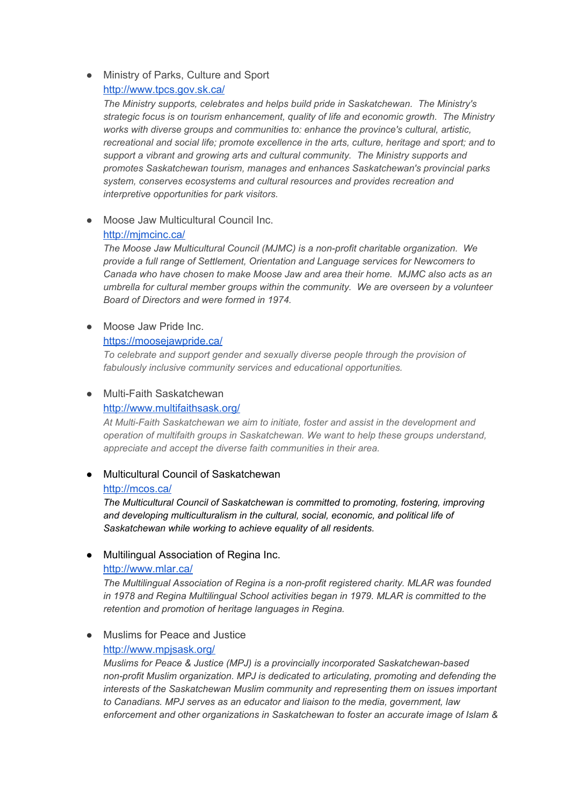## ● Ministry of Parks, Culture and Sport <http://www.tpcs.gov.sk.ca/>

*The Ministry supports, celebrates and helps build pride in Saskatchewan. The Ministry's strategic focus is on tourism enhancement, quality of life and economic growth. The Ministry works with diverse groups and communities to: enhance the province's cultural, artistic, recreational and social life; promote excellence in the arts, culture, heritage and sport; and to support a vibrant and growing arts and cultural community. The Ministry supports and promotes Saskatchewan tourism, manages and enhances Saskatchewan's provincial parks system, conserves ecosystems and cultural resources and provides recreation and interpretive opportunities for park visitors.*

● Moose Jaw Multicultural Council Inc.

#### <http://mjmcinc.ca/>

*The Moose Jaw Multicultural Council (MJMC) is a non-profit charitable organization. We provide a full range of Settlement, Orientation and Language services for Newcomers to Canada who have chosen to make Moose Jaw and area their home. MJMC also acts as an umbrella for cultural member groups within the community. We are overseen by a volunteer Board of Directors and were formed in 1974.*

## ● Moose Jaw Pride Inc.

<https://moosejawpride.ca/>

*To celebrate and support gender and sexually diverse people through the provision of fabulously inclusive community services and educational opportunities.*

## ● Multi-Faith Saskatchewan

<http://www.multifaithsask.org/>

*At Multi-Faith Saskatchewan we aim to initiate, foster and assist in the development and operation of multifaith groups in Saskatchewan. We want to help these groups understand, appreciate and accept the diverse faith communities in their area.*

## **Multicultural Council of Saskatchewan** <http://mcos.ca/>

*The Multicultural Council of Saskatchewan is committed to promoting, fostering, improving and developing multiculturalism in the cultural, social, economic, and political life of Saskatchewan while working to achieve equality of all residents.*

● Multilingual Association of Regina Inc.

## <http://www.mlar.ca/>

*The Multilingual Association of Regina is a non-profit registered charity. MLAR was founded in 1978 and Regina Multilingual School activities began in 1979. MLAR is committed to the retention and promotion of heritage languages in Regina.*

## ● Muslims for Peace and Justice <http://www.mpjsask.org/>

*Muslims for Peace & Justice (MPJ) is a provincially incorporated Saskatchewan-based non-profit Muslim organization. MPJ is dedicated to articulating, promoting and defending the interests of the Saskatchewan Muslim community and representing them on issues important to Canadians. MPJ serves as an educator and liaison to the media, government, law enforcement and other organizations in Saskatchewan to foster an accurate image of Islam &*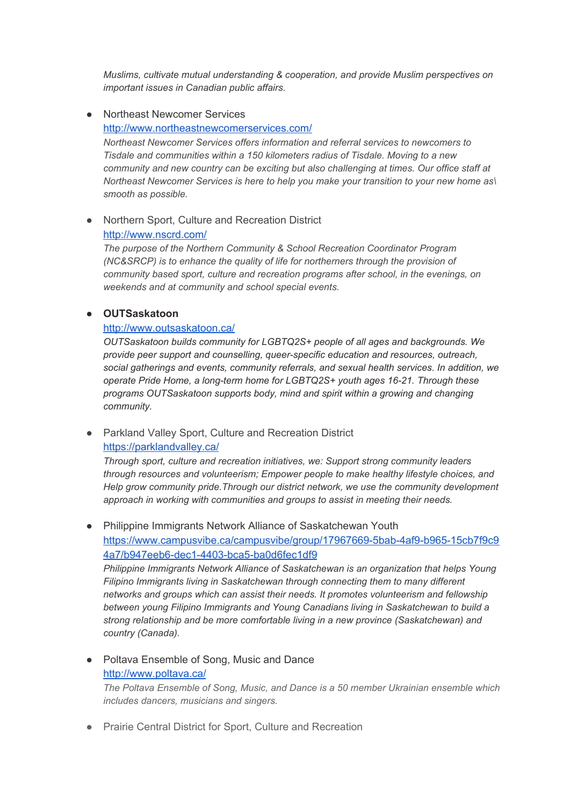*Muslims, cultivate mutual understanding & cooperation, and provide Muslim perspectives on important issues in Canadian public affairs.*

- Northeast Newcomer Services <http://www.northeastnewcomerservices.com/> *Northeast Newcomer Services offers information and referral services to newcomers to Tisdale and communities within a 150 kilometers radius of Tisdale. Moving to a new community and new country can be exciting but also challenging at times. Our office staff at Northeast Newcomer Services is here to help you make your transition to your new home as\ smooth as possible.*
- Northern Sport, Culture and Recreation District

#### <http://www.nscrd.com/>

*The purpose of the Northern Community & School Recreation Coordinator Program (NC&SRCP) is to enhance the quality of life for northerners through the provision of community based sport, culture and recreation programs after school, in the evenings, on weekends and at community and school special events.*

### **● OUTSaskatoon**

#### <http://www.outsaskatoon.ca/>

*OUTSaskatoon builds community for LGBTQ2S+ people of all ages and backgrounds. We provide peer support and counselling, queer-specific education and resources, outreach, social gatherings and events, community referrals, and sexual health services. In addition, we operate Pride Home, a long-term home for LGBTQ2S+ youth ages 16-21. Through these programs OUTSaskatoon supports body, mind and spirit within a growing and changing community.*

## ● Parkland Valley Sport, Culture and Recreation District <https://parklandvalley.ca/>

*Through sport, culture and recreation initiatives, we: Support strong community leaders through resources and volunteerism; Empower people to make healthy lifestyle choices, and Help grow community pride.Through our district network, we use the community development approach in working with communities and groups to assist in meeting their needs.*

● Philippine Immigrants Network Alliance of Saskatchewan Youth [https://www.campusvibe.ca/campusvibe/group/17967669-5bab-4af9-b965-15cb7f9c9](https://www.campusvibe.ca/campusvibe/group/17967669-5bab-4af9-b965-15cb7f9c94a7/b947eeb6-dec1-4403-bca5-ba0d6fec1df9) [4a7/b947eeb6-dec1-4403-bca5-ba0d6fec1df9](https://www.campusvibe.ca/campusvibe/group/17967669-5bab-4af9-b965-15cb7f9c94a7/b947eeb6-dec1-4403-bca5-ba0d6fec1df9)

*Philippine Immigrants Network Alliance of Saskatchewan is an organization that helps Young Filipino Immigrants living in Saskatchewan through connecting them to many different networks and groups which can assist their needs. It promotes volunteerism and fellowship between young Filipino Immigrants and Young Canadians living in Saskatchewan to build a strong relationship and be more comfortable living in a new province (Saskatchewan) and country (Canada).*

- Poltava Ensemble of Song, Music and Dance <http://www.poltava.ca/> *The Poltava Ensemble of Song, Music, and Dance is a 50 member Ukrainian ensemble which includes dancers, musicians and singers.*
- Prairie Central District for Sport, Culture and Recreation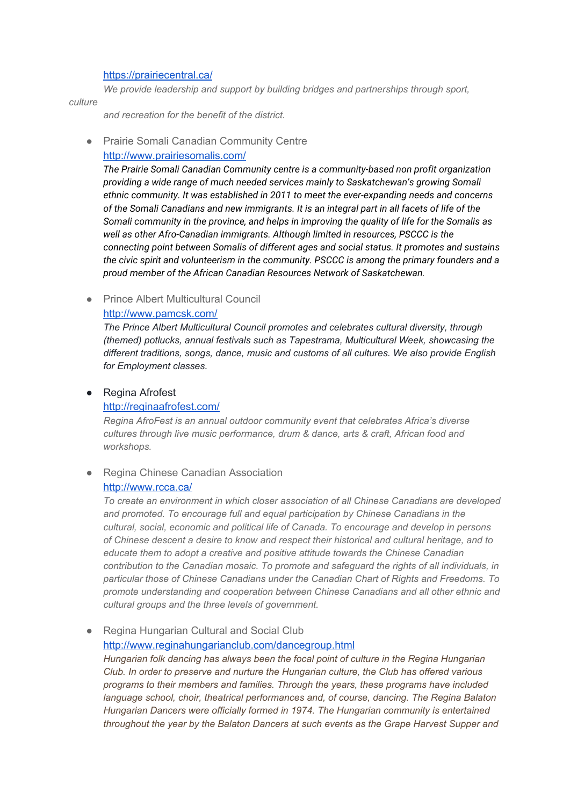#### <https://prairiecentral.ca/>

*We provide leadership and support by building bridges and partnerships through sport,*

#### *culture*

*and recreation for the benefit of the district.*

- Prairie Somali Canadian Community Centre
	- <http://www.prairiesomalis.com/>

*The Prairie Somali Canadian Community centre is a community-based non profit organization providing a wide range of much needed services mainly to Saskatchewan's growing Somali ethnic community. It was established in 2011 to meet the ever-expanding needs and concerns* of the Somali Canadians and new immigrants. It is an integral part in all facets of life of the *Somali community in the province, and helps in improving the quality of life for the Somalis as well as other Afro-Canadian immigrants. Although limited in resources, PSCCC is the connecting point between Somalis of different ages and social status. It promotes and sustains the civic spirit and volunteerism in the community. PSCCC is among the primary founders and a proud member of the African Canadian Resources Network of Saskatchewan.*

● Prince Albert Multicultural Council <http://www.pamcsk.com/>

*The Prince Albert Multicultural Council promotes and celebrates cultural diversity, through (themed) potlucks, annual festivals such as Tapestrama, Multicultural Week, showcasing the different traditions, songs, dance, music and customs of all cultures. We also provide English for Employment classes.*

#### ● Regina Afrofest

#### <http://reginaafrofest.com/>

*Regina AfroFest is an annual outdoor community event that celebrates Africa's diverse cultures through live music performance, drum & dance, arts & craft, African food and workshops.*

#### ● Regina Chinese Canadian Association

#### <http://www.rcca.ca/>

*To create an environment in which closer association of all Chinese Canadians are developed and promoted. To encourage full and equal participation by Chinese Canadians in the cultural, social, economic and political life of Canada. To encourage and develop in persons of Chinese descent a desire to know and respect their historical and cultural heritage, and to educate them to adopt a creative and positive attitude towards the Chinese Canadian contribution to the Canadian mosaic. To promote and safeguard the rights of all individuals, in particular those of Chinese Canadians under the Canadian Chart of Rights and Freedoms. To promote understanding and cooperation between Chinese Canadians and all other ethnic and cultural groups and the three levels of government.*

Regina Hungarian Cultural and Social Club

<http://www.reginahungarianclub.com/dancegroup.html>

*Hungarian folk dancing has always been the focal point of culture in the Regina Hungarian Club. In order to preserve and nurture the Hungarian culture, the Club has offered various programs to their members and families. Through the years, these programs have included language school, choir, theatrical performances and, of course, dancing. The Regina Balaton Hungarian Dancers were officially formed in 1974. The Hungarian community is entertained throughout the year by the Balaton Dancers at such events as the Grape Harvest Supper and*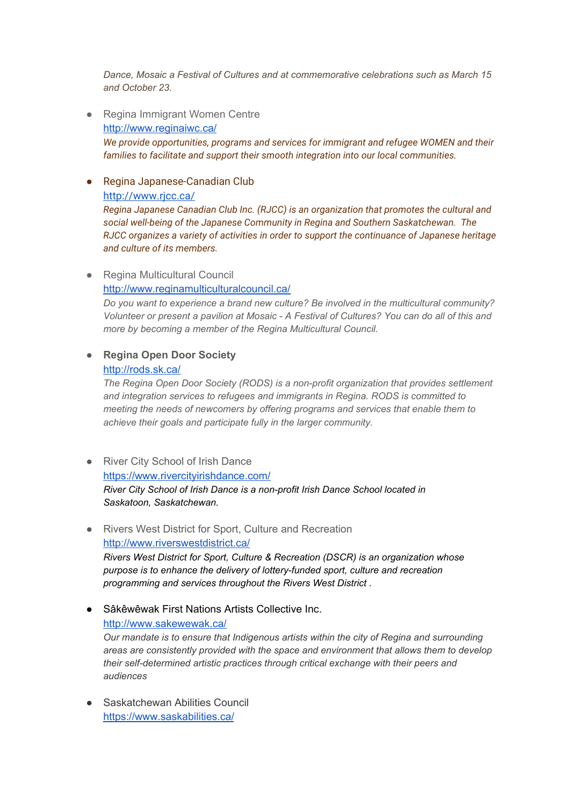*Dance, Mosaic a Festival of Cultures and at commemorative celebrations such as March 15 and October 23.*

- Regina Immigrant Women Centre <http://www.reginaiwc.ca/> *We provide opportunities, programs and services for immigrant and refugee WOMEN and their families to facilitate and support their smooth integration into our local communities.*
- Regina Japanese-Canadian Club <http://www.rjcc.ca/>

*Regina Japanese Canadian Club Inc. (RJCC) is an organization that promotes the cultural and social well-being of the Japanese Community in Regina and Southern Saskatchewan. The RJCC organizes a variety of activities in order to support the continuance of Japanese heritage and culture of its members.*

## ● Regina Multicultural Council

### <http://www.reginamulticulturalcouncil.ca/>

*Do you want to experience a brand new culture? Be involved in the multicultural community?* Volunteer or present a pavilion at Mosaic - A Festival of Cultures? You can do all of this and *more by becoming a member of the Regina Multicultural Council.*

# **● Regina Open Door Society**

## <http://rods.sk.ca/>

*The Regina Open Door Society (RODS) is a non-profit organization that provides settlement and integration services to refugees and immigrants in Regina. RODS is committed to meeting the needs of newcomers by offering programs and services that enable them to achieve their goals and participate fully in the larger community.*

- River City School of Irish Dance <https://www.rivercityirishdance.com/> *River City School of Irish Dance is a non-profit Irish Dance School located in Saskatoon, Saskatchewan.*
- Rivers West District for Sport, Culture and Recreation <http://www.riverswestdistrict.ca/> *Rivers West District for Sport, Culture & Recreation (DSCR) is an organization whose purpose is to enhance the delivery of lottery-funded sport, culture and recreation programming and services throughout the Rivers West District .*
- Sâkêwêwak First Nations Artists Collective Inc. <http://www.sakewewak.ca/> *Our mandate is to ensure that Indigenous artists within the city of Regina and surrounding areas are consistently provided with the space and environment that allows them to develop their self-determined artistic practices through critical exchange with their peers and audiences*
- Saskatchewan Abilities Council <https://www.saskabilities.ca/>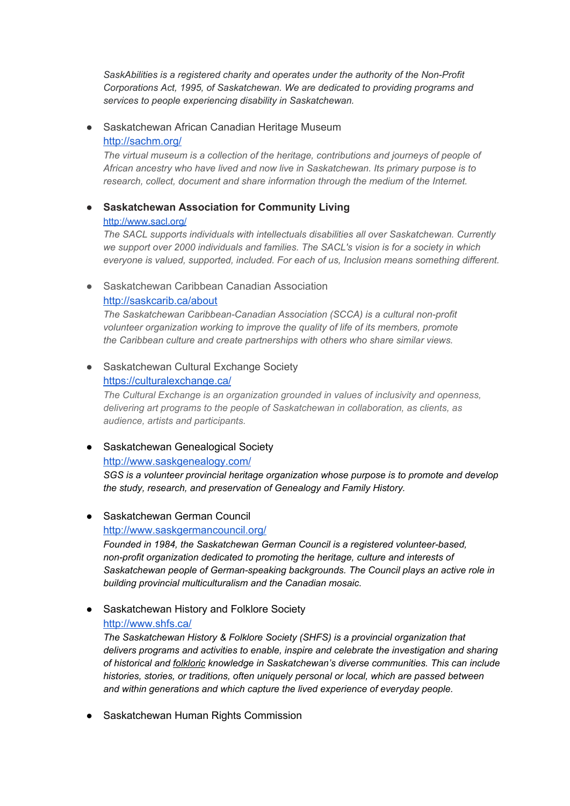*SaskAbilities is a registered charity and operates under the authority of the Non-Profit Corporations Act, 1995, of Saskatchewan. We are dedicated to providing programs and services to people experiencing disability in Saskatchewan.*

## ● Saskatchewan African Canadian Heritage Museum <http://sachm.org/>

*The virtual museum is a collection of the heritage, contributions and journeys of people of African ancestry who have lived and now live in Saskatchewan. Its primary purpose is to research, collect, document and share information through the medium of the Internet.*

# **● Saskatchewan Association for Community Living** <http://www.sacl.org/>

*The SACL supports individuals with intellectuals disabilities all over Saskatchewan. Currently we support over 2000 individuals and families. The SACL's vision is for a society in which everyone is valued, supported, included. For each of us, Inclusion means something different.*

## ● Saskatchewan Caribbean Canadian Association

## <http://saskcarib.ca/about>

*The Saskatchewan Caribbean-Canadian Association (SCCA) is a cultural non-profit volunteer organization working to improve the quality of life of its members, promote the Caribbean culture and create partnerships with others who share similar views.*

## ● Saskatchewan Cultural Exchange Society <https://culturalexchange.ca/>

*The Cultural Exchange is an organization grounded in values of inclusivity and openness, delivering art programs to the people of Saskatchewan in collaboration, as clients, as audience, artists and participants.*

## ● Saskatchewan Genealogical Society

## <http://www.saskgenealogy.com/>

*SGS is a volunteer provincial heritage organization whose purpose is to promote and develop the study, research, and preservation of Genealogy and Family History.*

## ● Saskatchewan German Council

<http://www.saskgermancouncil.org/>

*Founded in 1984, the Saskatchewan German Council is a registered volunteer-based, non-profit organization dedicated to promoting the heritage, culture and interests of Saskatchewan people of German-speaking backgrounds. The Council plays an active role in building provincial multiculturalism and the Canadian mosaic.*

# ● Saskatchewan History and Folklore Society <http://www.shfs.ca/>

*The Saskatchewan History & Folklore Society (SHFS) is a provincial organization that delivers programs and activities to enable, inspire and celebrate the investigation and sharing of historical and [folkloric](http://shfs.usask.ca/ich) knowledge in Saskatchewan's diverse communities. This can include histories, stories, or traditions, often uniquely personal or local, which are passed between and within generations and which capture the lived experience of everyday people.*

● Saskatchewan Human Rights Commission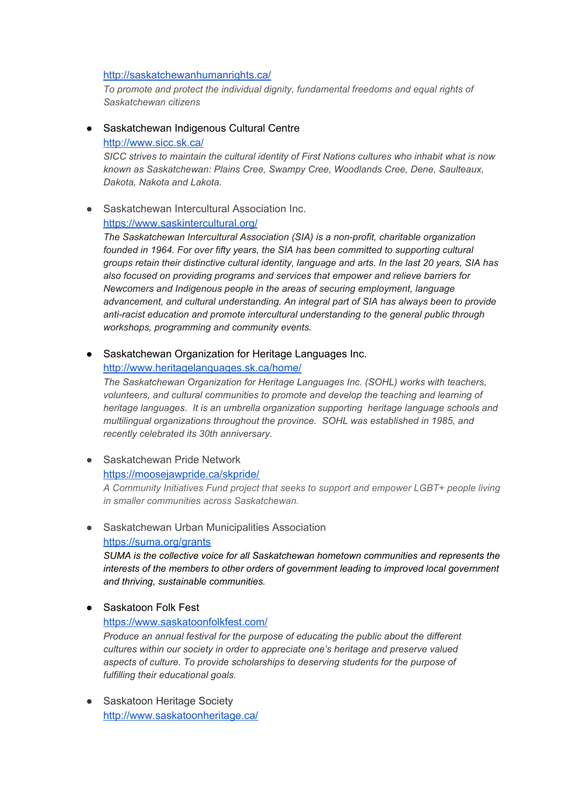#### <http://saskatchewanhumanrights.ca/>

*To promote and protect the individual dignity, fundamental freedoms and equal rights of Saskatchewan citizens*

● Saskatchewan Indigenous Cultural Centre <http://www.sicc.sk.ca/>

*SICC strives to maintain the cultural identity of First Nations cultures who inhabit what is now known as Saskatchewan: Plains Cree, Swampy Cree, Woodlands Cree, Dene, Saulteaux, Dakota, Nakota and Lakota.*

● Saskatchewan Intercultural Association Inc.

## <https://www.saskintercultural.org/>

*The Saskatchewan Intercultural Association (SIA) is a non-profit, charitable organization founded in 1964. For over fifty years, the SIA has been committed to supporting cultural groups retain their distinctive cultural identity, language and arts. In the last 20 years, SIA has also focused on providing programs and services that empower and relieve barriers for Newcomers and Indigenous people in the areas of securing employment, language advancement, and cultural understanding. An integral part of SIA has always been to provide anti-racist education and promote intercultural understanding to the general public through workshops, programming and community events.*

● Saskatchewan Organization for Heritage Languages Inc.

#### <http://www.heritagelanguages.sk.ca/home/>

*The Saskatchewan Organization for Heritage Languages Inc. (SOHL) works with teachers, volunteers, and cultural communities to promote and develop the teaching and learning of heritage languages. It is an umbrella organization supporting heritage language schools and multilingual organizations throughout the province. SOHL was established in 1985, and recently celebrated its 30th anniversary.*

● Saskatchewan Pride Network <https://moosejawpride.ca/skpride/>

*A Community Initiatives Fund project that seeks to support and empower LGBT+ people living in smaller communities across Saskatchewan.*

## ● Saskatchewan Urban Municipalities Association <https://suma.org/grants>

*SUMA is the collective voice for all Saskatchewan hometown communities and represents the interests of the members to other orders of government leading to improved local government and thriving, sustainable communities.*

## ● Saskatoon Folk Fest

#### <https://www.saskatoonfolkfest.com/>

*Produce an annual festival for the purpose of educating the public about the different cultures within our society in order to appreciate one's heritage and preserve valued aspects of culture. To provide scholarships to deserving students for the purpose of fulfilling their educational goals.*

• Saskatoon Heritage Society <http://www.saskatoonheritage.ca/>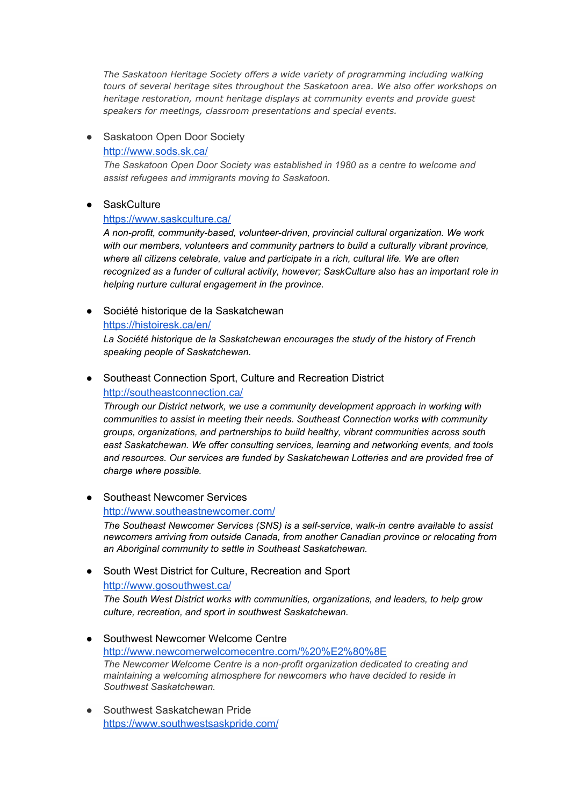*The Saskatoon Heritage Society offers a wide variety of programming including walking tours of several heritage sites throughout the Saskatoon area. We also offer workshops on heritage restoration, mount heritage displays at community events and provide guest speakers for meetings, classroom presentations and special events.*

## • Saskatoon Open Door Society

#### <http://www.sods.sk.ca/>

*The Saskatoon Open Door Society was established in 1980 as a centre to welcome and assist refugees and immigrants moving to Saskatoon.*

#### ● SaskCulture

#### <https://www.saskculture.ca/>

*A non-profit, community-based, volunteer-driven, provincial cultural organization. We work with our members, volunteers and community partners to build a culturally vibrant province, where all citizens celebrate, value and participate in a rich, cultural life. We are often recognized as a funder of cultural activity, however; SaskCulture also has an important role in helping nurture cultural engagement in the province.*

● Société historique de la Saskatchewan

<https://histoiresk.ca/en/>

*La Société historique de la Saskatchewan encourages the study of the history of French speaking people of Saskatchewan.*

### ● Southeast Connection Sport, Culture and Recreation District <http://southeastconnection.ca/>

*Through our District network, we use a community development approach in working with communities to assist in meeting their needs. Southeast Connection works with community groups, organizations, and partnerships to build healthy, vibrant communities across south east Saskatchewan. We offer consulting services, learning and networking events, and tools and resources. Our services are funded by Saskatchewan Lotteries and are provided free of charge where possible.*

● Southeast Newcomer Services

<http://www.southeastnewcomer.com/>

*The Southeast Newcomer Services (SNS) is a self-service, walk-in centre available to assist newcomers arriving from outside Canada, from another Canadian province or relocating from an Aboriginal community to settle in Southeast Saskatchewan.*

● South West District for Culture, Recreation and Sport

<http://www.gosouthwest.ca/>

*The South West District works with communities, organizations, and leaders, to help grow culture, recreation, and sport in southwest Saskatchewan.*

- Southwest Newcomer Welcome Centre <http://www.newcomerwelcomecentre.com/%20%E2%80%8E> *The Newcomer Welcome Centre is a non-profit organization dedicated to creating and maintaining a welcoming atmosphere for newcomers who have decided to reside in Southwest Saskatchewan.*
- Southwest Saskatchewan Pride <https://www.southwestsaskpride.com/>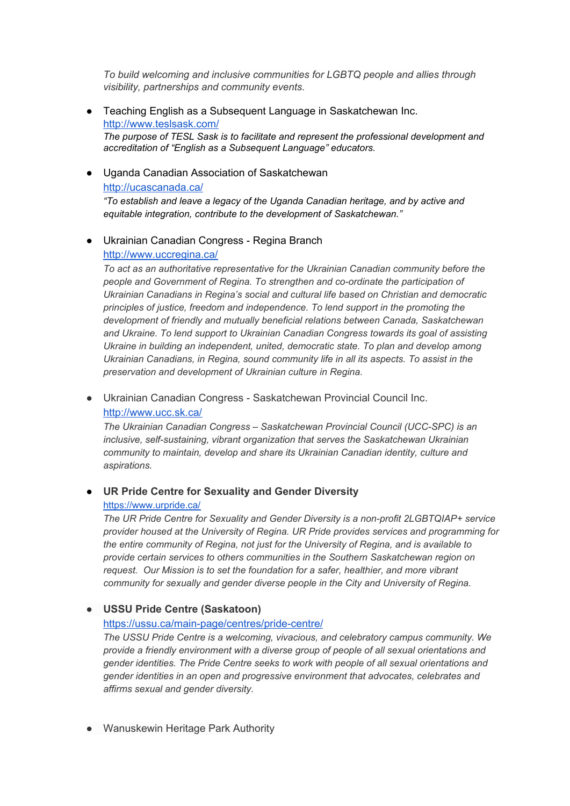*To build welcoming and inclusive communities for LGBTQ people and allies through visibility, partnerships and community events.*

- Teaching English as a Subsequent Language in Saskatchewan Inc. <http://www.teslsask.com/> *The purpose of TESL Sask is to facilitate and represent the professional development and accreditation of "English as a Subsequent Language" educators.*
- Uganda Canadian Association of Saskatchewan <http://ucascanada.ca/> *"To establish and leave a legacy of the Uganda Canadian heritage, and by active and equitable integration, contribute to the development of Saskatchewan."*
- Ukrainian Canadian Congress Regina Branch <http://www.uccregina.ca/>

*To act as an authoritative representative for the Ukrainian Canadian community before the people and Government of Regina. To strengthen and co-ordinate the participation of Ukrainian Canadians in Regina's social and cultural life based on Christian and democratic principles of justice, freedom and independence. To lend support in the promoting the development of friendly and mutually beneficial relations between Canada, Saskatchewan and Ukraine. To lend support to Ukrainian Canadian Congress towards its goal of assisting Ukraine in building an independent, united, democratic state. To plan and develop among Ukrainian Canadians, in Regina, sound community life in all its aspects. To assist in the preservation and development of Ukrainian culture in Regina.*

● Ukrainian Canadian Congress - Saskatchewan Provincial Council Inc. <http://www.ucc.sk.ca/>

*The Ukrainian Canadian Congress – Saskatchewan Provincial Council (UCC-SPC) is an inclusive, self-sustaining, vibrant organization that serves the Saskatchewan Ukrainian community to maintain, develop and share its Ukrainian Canadian identity, culture and aspirations.*

## ● **UR Pride Centre for Sexuality and Gender Diversity** <https://www.urpride.ca/>

*The UR Pride Centre for Sexuality and Gender Diversity is a non-profit 2LGBTQIAP+ service provider housed at the University of Regina. UR Pride provides services and programming for the entire community of Regina, not just for the University of Regina, and is available to provide certain services to others communities in the Southern Saskatchewan region on request. Our Mission is to set the foundation for a safer, healthier, and more vibrant community for sexually and gender diverse people in the City and University of Regina.*

## ● **USSU Pride Centre (Saskatoon)**

## <https://ussu.ca/main-page/centres/pride-centre/>

*The USSU Pride Centre is a welcoming, vivacious, and celebratory campus community. We provide a friendly environment with a diverse group of people of all sexual orientations and gender identities. The Pride Centre seeks to work with people of all sexual orientations and gender identities in an open and progressive environment that advocates, celebrates and affirms sexual and gender diversity.*

● Wanuskewin Heritage Park Authority